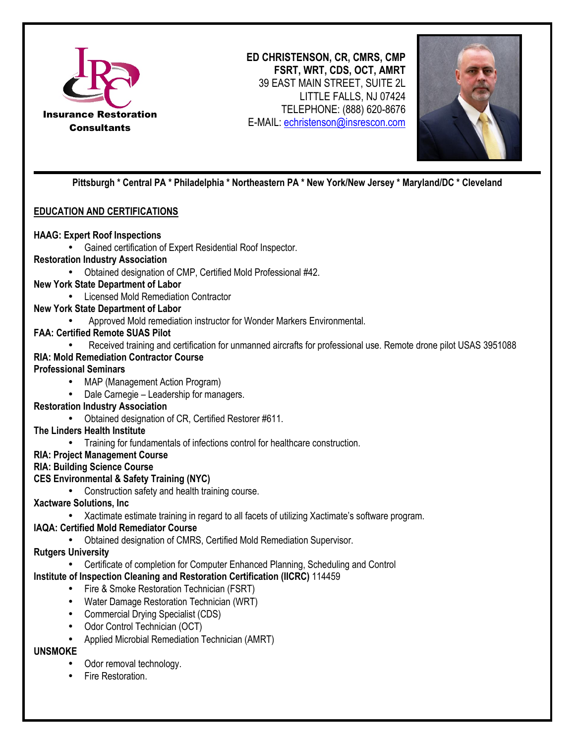

**ED CHRISTENSON, CR, CMRS, CMP FSRT, WRT, CDS, OCT, AMRT**  39 EAST MAIN STREET, SUITE 2L LITTLE FALLS, NJ 07424 TELEPHONE: (888) 620-8676 E-MAIL: echristenson@insrescon.com



**Pittsburgh \* Central PA \* Philadelphia \* Northeastern PA \* New York/New Jersey \* Maryland/DC \* Cleveland** 

# **EDUCATION AND CERTIFICATIONS**

### **HAAG: Expert Roof Inspections**

• Gained certification of Expert Residential Roof Inspector.

#### **Restoration Industry Association**

• Obtained designation of CMP, Certified Mold Professional #42.

### **New York State Department of Labor**

• Licensed Mold Remediation Contractor

### **New York State Department of Labor**

• Approved Mold remediation instructor for Wonder Markers Environmental.

# **FAA: Certified Remote SUAS Pilot**

• Received training and certification for unmanned aircrafts for professional use. Remote drone pilot USAS 3951088 **RIA: Mold Remediation Contractor Course**

#### **Professional Seminars**

- MAP (Management Action Program)
- Dale Carnegie Leadership for managers.

### **Restoration Industry Association**

- Obtained designation of CR, Certified Restorer #611.
- **The Linders Health Institute**
	- Training for fundamentals of infections control for healthcare construction.

# **RIA: Project Management Course**

## **RIA: Building Science Course**

### **CES Environmental & Safety Training (NYC)**

• Construction safety and health training course.

# **Xactware Solutions, Inc**

• Xactimate estimate training in regard to all facets of utilizing Xactimate's software program.

### **IAQA: Certified Mold Remediator Course**

• Obtained designation of CMRS, Certified Mold Remediation Supervisor.

### **Rutgers University**

• Certificate of completion for Computer Enhanced Planning, Scheduling and Control

# **Institute of Inspection Cleaning and Restoration Certification (IICRC)** 114459

- Fire & Smoke Restoration Technician (FSRT)
- Water Damage Restoration Technician (WRT)
- Commercial Drying Specialist (CDS)
- Odor Control Technician (OCT)
- Applied Microbial Remediation Technician (AMRT)

# **UNSMOKE**

- Odor removal technology.
- Fire Restoration.